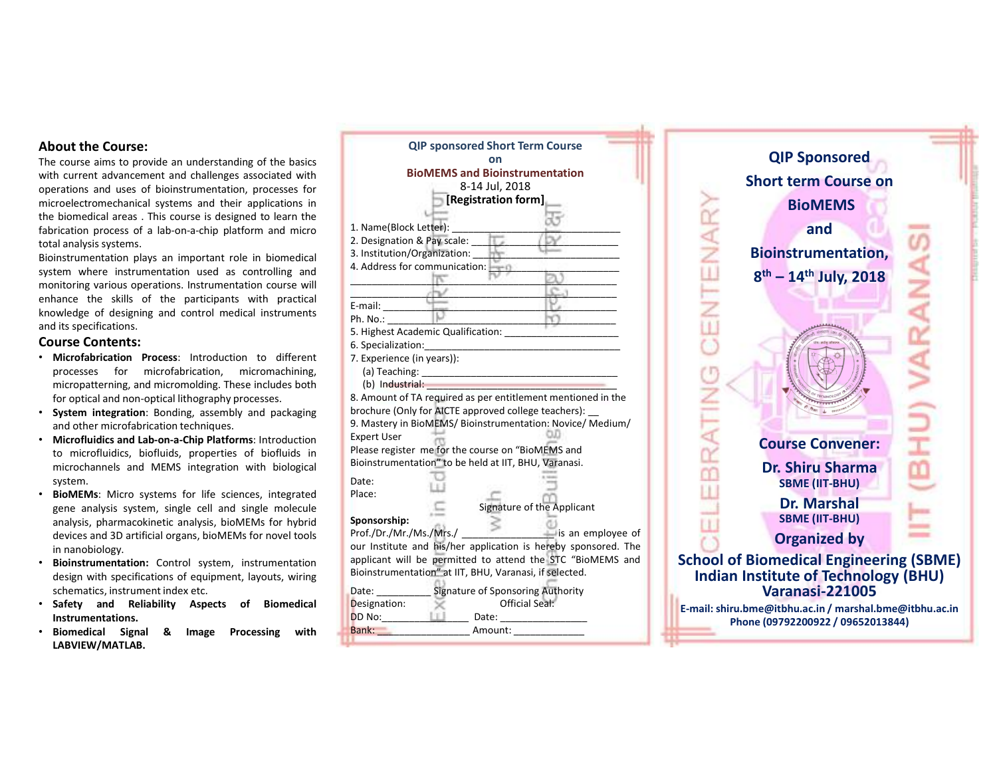- 
- 
- system.
- 
- 
- Instrumentations.
- LABVIEW/MATLAB.

| on                                                           | <b>QIP Sponsored</b>                                                                                                                                                                                                                                                                                                                                                                                                                                                                                                                                                                                                                         |
|--------------------------------------------------------------|----------------------------------------------------------------------------------------------------------------------------------------------------------------------------------------------------------------------------------------------------------------------------------------------------------------------------------------------------------------------------------------------------------------------------------------------------------------------------------------------------------------------------------------------------------------------------------------------------------------------------------------------|
| <b>BioMEMS and Bioinstrumentation</b>                        | <b>Short term Course on</b>                                                                                                                                                                                                                                                                                                                                                                                                                                                                                                                                                                                                                  |
| 8-14 Jul, 2018                                               |                                                                                                                                                                                                                                                                                                                                                                                                                                                                                                                                                                                                                                              |
|                                                              | <b>BioMEMS</b>                                                                                                                                                                                                                                                                                                                                                                                                                                                                                                                                                                                                                               |
|                                                              | and                                                                                                                                                                                                                                                                                                                                                                                                                                                                                                                                                                                                                                          |
|                                                              |                                                                                                                                                                                                                                                                                                                                                                                                                                                                                                                                                                                                                                              |
| 3. Institution/Organization:                                 | <b>Bioinstrumentation,</b>                                                                                                                                                                                                                                                                                                                                                                                                                                                                                                                                                                                                                   |
|                                                              | 8 <sup>th</sup> - 14 <sup>th</sup> July, 2018                                                                                                                                                                                                                                                                                                                                                                                                                                                                                                                                                                                                |
|                                                              |                                                                                                                                                                                                                                                                                                                                                                                                                                                                                                                                                                                                                                              |
|                                                              |                                                                                                                                                                                                                                                                                                                                                                                                                                                                                                                                                                                                                                              |
| ŀ٥<br>Ph. No.:                                               |                                                                                                                                                                                                                                                                                                                                                                                                                                                                                                                                                                                                                                              |
| 5. Highest Academic Qualification:                           |                                                                                                                                                                                                                                                                                                                                                                                                                                                                                                                                                                                                                                              |
| 6. Specialization:                                           |                                                                                                                                                                                                                                                                                                                                                                                                                                                                                                                                                                                                                                              |
|                                                              |                                                                                                                                                                                                                                                                                                                                                                                                                                                                                                                                                                                                                                              |
|                                                              |                                                                                                                                                                                                                                                                                                                                                                                                                                                                                                                                                                                                                                              |
| 8. Amount of TA required as per entitlement mentioned in the |                                                                                                                                                                                                                                                                                                                                                                                                                                                                                                                                                                                                                                              |
| brochure (Only for AICTE approved college teachers): _       | $+ 180$                                                                                                                                                                                                                                                                                                                                                                                                                                                                                                                                                                                                                                      |
|                                                              | س                                                                                                                                                                                                                                                                                                                                                                                                                                                                                                                                                                                                                                            |
|                                                              | <b>Course Convener:</b>                                                                                                                                                                                                                                                                                                                                                                                                                                                                                                                                                                                                                      |
|                                                              |                                                                                                                                                                                                                                                                                                                                                                                                                                                                                                                                                                                                                                              |
|                                                              | <b>Dr. Shiru Sharma</b>                                                                                                                                                                                                                                                                                                                                                                                                                                                                                                                                                                                                                      |
|                                                              | <b>SBME (IIT-BHU)</b>                                                                                                                                                                                                                                                                                                                                                                                                                                                                                                                                                                                                                        |
| Signature of the Applicant                                   | <b>Dr. Marshal</b>                                                                                                                                                                                                                                                                                                                                                                                                                                                                                                                                                                                                                           |
| Sponsorship:                                                 | <b>SBME (IIT-BHU)</b>                                                                                                                                                                                                                                                                                                                                                                                                                                                                                                                                                                                                                        |
| Prof./Dr./Mr./Ms./Mrs./<br>is an employee of                 | <b>Organized by</b>                                                                                                                                                                                                                                                                                                                                                                                                                                                                                                                                                                                                                          |
|                                                              | <b>School of Biomedical Engineering (SBME)</b>                                                                                                                                                                                                                                                                                                                                                                                                                                                                                                                                                                                               |
| Bioinstrumentation" at IIT, BHU, Varanasi, if selected.      | <b>Indian Institute of Technology (BHU)</b>                                                                                                                                                                                                                                                                                                                                                                                                                                                                                                                                                                                                  |
|                                                              | <b>Varanasi-221005</b>                                                                                                                                                                                                                                                                                                                                                                                                                                                                                                                                                                                                                       |
| Official Seal:<br>Designation:                               | E-mail: shiru.bme@itbhu.ac.in / marshal.bme@itbhu.ac.in                                                                                                                                                                                                                                                                                                                                                                                                                                                                                                                                                                                      |
| DD No:<br>Date:                                              | Phone (09792200922 / 09652013844)                                                                                                                                                                                                                                                                                                                                                                                                                                                                                                                                                                                                            |
|                                                              |                                                                                                                                                                                                                                                                                                                                                                                                                                                                                                                                                                                                                                              |
|                                                              | <b>QIP sponsored Short Term Course</b><br>[Registration form]<br>1. Name(Block Letter):<br>2. Designation & Pay scale:<br>4. Address for communication:<br>c<br>E-mail:<br>7. Experience (in years)):<br>(a) Teaching:<br>(b) Industrial:<br>9. Mastery in BioMEMS/ Bioinstrumentation: Novice/ Medium/<br><b>Expert User</b><br>Please register me for the course on "BioMEMS and<br>Bioinstrumentation" to be held at IIT, BHU, Varanasi.<br>Date:<br>Place:<br>our Institute and his/her application is hereby sponsored. The<br>applicant will be permitted to attend the STC "BioMEMS and<br>Signature of Sponsoring Authority<br>Date: |